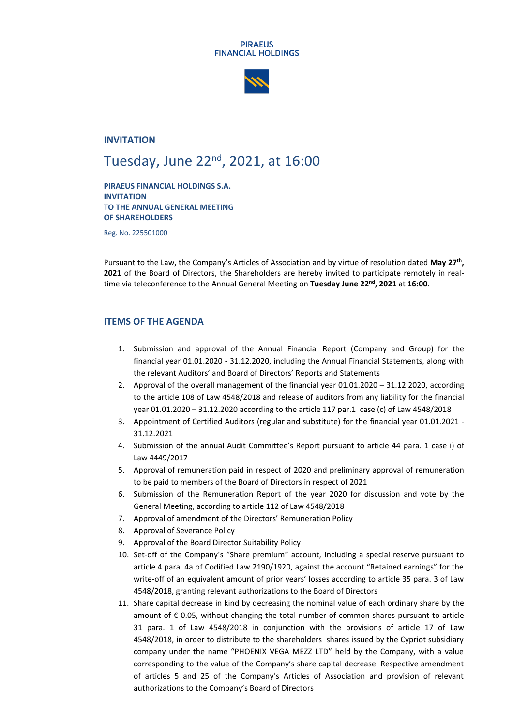#### **PIRAEUS FINANCIAL HOLDINGS**



## **INVITATION**

# Tuesday, June 22<sup>nd</sup>, 2021, at 16:00

**PIRAEUS FINANCIAL HOLDINGS S.A. INVITATION TO THE ANNUAL GENERAL MEETING OF SHAREHOLDERS**

Reg. No. 225501000

Pursuant to the Law, the Company's Articles of Association and by virtue of resolution dated **May 27th , 2021** of the Board of Directors, the Shareholders are hereby invited to participate remotely in realtime via teleconference to the Annual General Meeting on **Tuesday June 22 nd , 2021** at **16:00**.

### **ITEMS OF THE AGENDA**

- 1. Submission and approval of the Annual Financial Report (Company and Group) for the financial year 01.01.2020 - 31.12.2020, including the Annual Financial Statements, along with the relevant Auditors' and Board of Directors' Reports and Statements
- 2. Approval of the overall management of the financial year 01.01.2020 31.12.2020, according to the article 108 of Law 4548/2018 and release of auditors from any liability for the financial year 01.01.2020 – 31.12.2020 according to the article 117 par.1 case (c) of Law 4548/2018
- 3. Appointment of Certified Auditors (regular and substitute) for the financial year 01.01.2021 31.12.2021
- 4. Submission of the annual Audit Committee's Report pursuant to article 44 para. 1 case i) of Law 4449/2017
- 5. Approval of remuneration paid in respect of 2020 and preliminary approval of remuneration to be paid to members of the Board of Directors in respect of 2021
- 6. Submission of the Remuneration Report of the year 2020 for discussion and vote by the General Meeting, according to article 112 of Law 4548/2018
- 7. Approval of amendment of the Directors' Remuneration Policy
- 8. Approval of Severance Policy
- 9. Approval of the Board Director Suitability Policy
- 10. Set-off of the Company's "Share premium" account, including a special reserve pursuant to article 4 para. 4a of Codified Law 2190/1920, against the account "Retained earnings" for the write-off of an equivalent amount of prior years' losses according to article 35 para. 3 of Law 4548/2018, granting relevant authorizations to the Board of Directors
- 11. Share capital decrease in kind by decreasing the nominal value of each ordinary share by the amount of  $\epsilon$  0.05, without changing the total number of common shares pursuant to article 31 para. 1 of Law 4548/2018 in conjunction with the provisions of article 17 of Law 4548/2018, in order to distribute to the shareholders shares issued by the Cypriot subsidiary company under the name "PHOENIX VEGA MEZZ LTD" held by the Company, with a value corresponding to the value of the Company's share capital decrease. Respective amendment of articles 5 and 25 of the Company's Articles of Association and provision of relevant authorizations to the Company's Board of Directors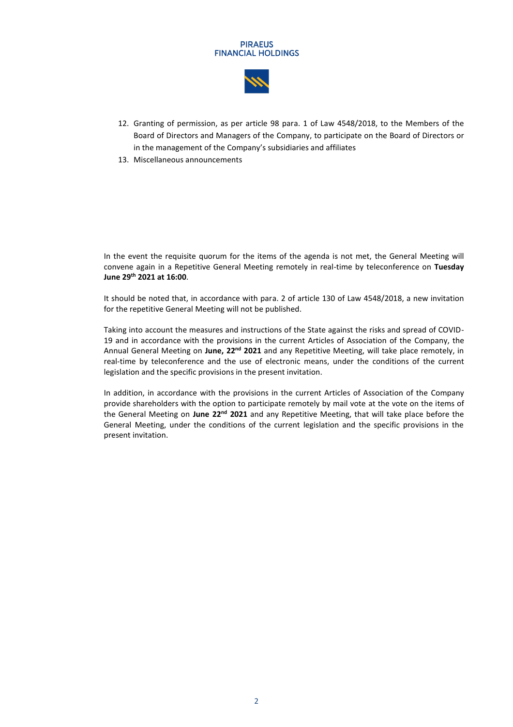#### **PIRAEUS FINANCIAL HOLDINGS**



- 12. Granting of permission, as per article 98 para. 1 of Law 4548/2018, to the Members of the Board of Directors and Managers of the Company, to participate on the Board of Directors or in the management of the Company's subsidiaries and affiliates
- 13. Miscellaneous announcements

In the event the requisite quorum for the items of the agenda is not met, the General Meeting will convene again in a Repetitive General Meeting remotely in real-time by teleconference on **Tuesday June 29 th 2021 at 16:00**.

It should be noted that, in accordance with para. 2 of article 130 of Law 4548/2018, a new invitation for the repetitive General Meeting will not be published.

Taking into account the measures and instructions of the State against the risks and spread of COVID-19 and in accordance with the provisions in the current Articles of Association of the Company, the Annual General Meeting on June, 22<sup>nd</sup> 2021 and any Repetitive Meeting, will take place remotely, in real-time by teleconference and the use of electronic means, under the conditions of the current legislation and the specific provisions in the present invitation.

In addition, in accordance with the provisions in the current Articles of Association of the Company provide shareholders with the option to participate remotely by mail vote at the vote on the items of the General Meeting on June 22<sup>nd</sup> 2021 and any Repetitive Meeting, that will take place before the General Meeting, under the conditions of the current legislation and the specific provisions in the present invitation.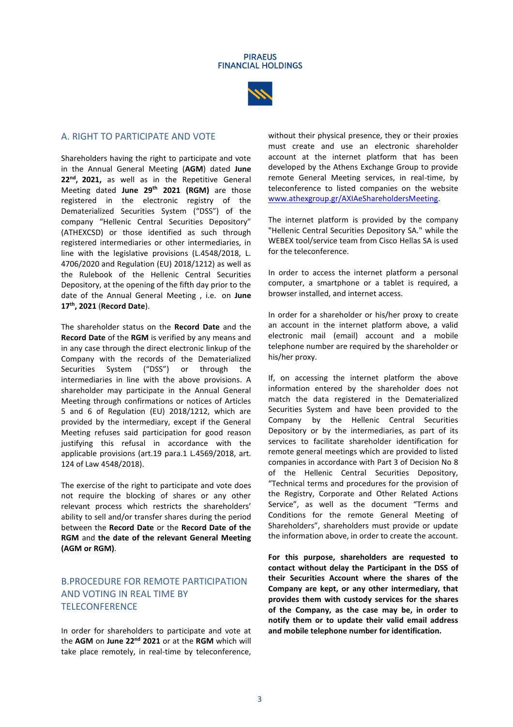

## A. RIGHT TO PARTICIPATE AND VOTE

Shareholders having the right to participate and vote in the Annual General Meeting (**AGM**) dated **June 22 nd , 2021,** as well as in the Repetitive General Meeting dated **June 29 th 2021 (RGM)** are those registered in the electronic registry of the Dematerialized Securities System ("DSS") of the company "Hellenic Central Securities Depository" (ATHEXCSD) or those identified as such through registered intermediaries or other intermediaries, in line with the legislative provisions (L.4548/2018, L. 4706/2020 and Regulation (EU) 2018/1212) as well as the Rulebook of the Hellenic Central Securities Depository, at the opening of the fifth day prior to the date of the Annual General Meeting , i.e. on **June 17th, 2021** (**Record Date**).

The shareholder status on the **Record Date** and the **Record Date** of the **RGM** is verified by any means and in any case through the direct electronic linkup of the Company with the records of the Dematerialized Securities System ("DSS") or through the intermediaries in line with the above provisions. A shareholder may participate in the Annual General Meeting through confirmations or notices of Articles 5 and 6 of Regulation (EU) 2018/1212, which are provided by the intermediary, except if the General Meeting refuses said participation for good reason justifying this refusal in accordance with the applicable provisions (art.19 para.1 L.4569/2018, art. 124 of Law 4548/2018).

The exercise of the right to participate and vote does not require the blocking of shares or any other relevant process which restricts the shareholders' ability to sell and/or transfer shares during the period between the **Record Date** or the **Record Date of the RGM** and **the date of the relevant General Meeting (AGM or RGM)**.

# B.PROCEDURE FOR REMOTE PARTICIPATION AND VOTING IN REAL TIME BY **TELECONFERENCE**

In order for shareholders to participate and vote at the AGM on June 22<sup>nd</sup> 2021 or at the RGM which will take place remotely, in real-time by teleconference, without their physical presence, they or their proxies must create and use an electronic shareholder account at the internet platform that has been developed by the Athens Exchange Group to provide remote General Meeting services, in real-time, by teleconference to listed companies on the website [www.athexgroup.gr/AXIAeShareholdersMeeting.](http://www.athexgroup.gr/AXIAeShareholdersMeeting) 

The internet platform is provided by the company "Hellenic Central Securities Depository SA." while the WEBEX tool/service team from Cisco Hellas SA is used for the teleconference.

In order to access the internet platform a personal computer, a smartphone or a tablet is required, a browser installed, and internet access.

In order for a shareholder or his/her proxy to create an account in the internet platform above, a valid electronic mail (email) account and a mobile telephone number are required by the shareholder or his/her proxy.

If, on accessing the internet platform the above information entered by the shareholder does not match the data registered in the Dematerialized Securities System and have been provided to the Company by the Hellenic Central Securities Depository or by the intermediaries, as part of its services to facilitate shareholder identification for remote general meetings which are provided to listed companies in accordance with Part 3 of Decision No 8 of the Hellenic Central Securities Depository, "Technical terms and procedures for the provision of the Registry, Corporate and Other Related Actions Service", as well as the document "Terms and Conditions for the remote General Meeting of Shareholders", shareholders must provide or update the information above, in order to create the account.

**For this purpose, shareholders are requested to contact without delay the Participant in the DSS of their Securities Account where the shares of the Company are kept, or any other intermediary, that provides them with custody services for the shares of the Company, as the case may be, in order to notify them or to update their valid email address and mobile telephone number for identification.**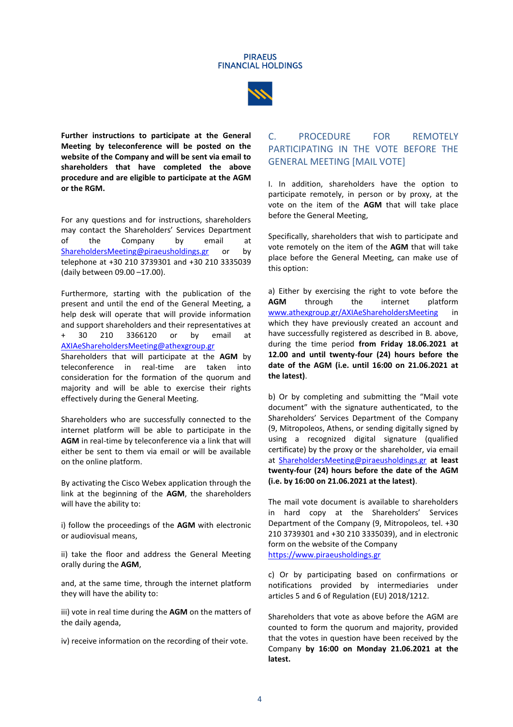



**Further instructions to participate at the General Meeting by teleconference will be posted on the website of the Company and will be sent via email to shareholders that have completed the above procedure and are eligible to participate at the AGM or the RGM.**

For any questions and for instructions, shareholders may contact the Shareholders' Services Department<br>of the Company by email at the Company by email at [ShareholdersMeeting@piraeusholdings.gr](mailto:ShareholdersMeeting@piraeusholdings.gr) or by telephone at +30 210 3739301 and +30 210 3335039 (daily between 09.00 –17.00).

Furthermore, starting with the publication of the present and until the end of the General Meeting, a help desk will operate that will provide information and support shareholders and their representatives at<br>+ 30 210 3366120 or by email at + 30 210 3366120 or by email at [AXIAeShareholdersMeeting@athexgroup.gr](mailto:AXIAeShareholdersMeeting@athexgroup.gr) Shareholders that will participate at the **AGM** by teleconference in real-time are taken into consideration for the formation of the quorum and majority and will be able to exercise their rights effectively during the General Meeting.

Shareholders who are successfully connected to the internet platform will be able to participate in the **AGM** in real-time by teleconference via a link that will either be sent to them via email or will be available on the online platform.

By activating the Cisco Webex application through the link at the beginning of the **AGM**, the shareholders will have the ability to:

i) follow the proceedings of the **AGM** with electronic or audiovisual means,

ii) take the floor and address the General Meeting orally during the **AGM**,

and, at the same time, through the internet platform they will have the ability to:

iii) vote in real time during the **AGM** on the matters of the daily agenda,

iv) receive information on the recording of their vote.

# C. PROCEDURE FOR REMOTELY PARTICIPATING IN THE VOTE BEFORE THE GENERAL MEETING [MAIL VOTE]

I. In addition, shareholders have the option to participate remotely, in person or by proxy, at the vote on the item of the **AGM** that will take place before the General Meeting,

Specifically, shareholders that wish to participate and vote remotely on the item of the **AGM** that will take place before the General Meeting, can make use of this option:

a) Either by exercising the right to vote before the **AGM** through the internet platform [www.athexgroup.gr/AXIAeShareholdersMeeting](http://www.athexgroup.gr/AXIAeShareholdersMeeting) in which they have previously created an account and have successfully registered as described in B. above, during the time period **from Friday 18.06.2021 at 12.00 and until twenty-four (24) hours before the date of the AGM (i.e. until 16:00 on 21.06.2021 at the latest)**.

b) Or by completing and submitting the "Mail vote document" with the signature authenticated, to the Shareholders' Services Department of the Company (9, Mitropoleos, Athens, or sending digitally signed by using a recognized digital signature (qualified certificate) by the proxy or the shareholder, via email at [ShareholdersMeeting@piraeusholdings.gr](mailto:ShareholdersMeeting@piraeusholdings.gr) **at least twenty-four (24) hours before the date of the AGM (i.e. by 16:00 on 21.06.2021 at the latest)**.

The mail vote document is available to shareholders in hard copy at the Shareholders' Services Department of the Company (9, Mitropoleos, tel. +30 210 3739301 and +30 210 3335039), and in electronic form on the website of the Company [https://www.piraeusholdings.gr](https://www.piraeusholdings.gr/)

c) Or by participating based on confirmations or notifications provided by intermediaries under articles 5 and 6 of Regulation (EU) 2018/1212.

Shareholders that vote as above before the AGM are counted to form the quorum and majority, provided that the votes in question have been received by the Company **by 16:00 on Monday 21.06.2021 at the latest.**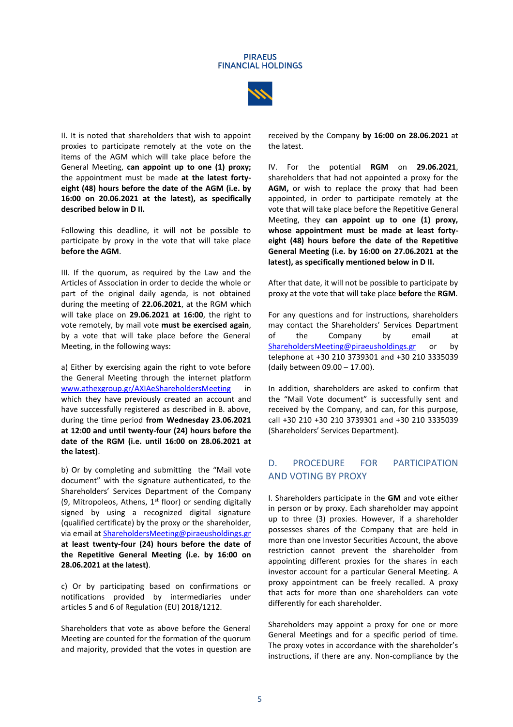



II. It is noted that shareholders that wish to appoint proxies to participate remotely at the vote on the items of the AGM which will take place before the General Meeting, **can appoint up to one (1) proxy;** the appointment must be made **at the latest fortyeight (48) hours before the date of the AGM (i.e. by 16:00 on 20.06.2021 at the latest), as specifically described below in D II.**

Following this deadline, it will not be possible to participate by proxy in the vote that will take place **before the AGM**.

III. If the quorum, as required by the Law and the Articles of Association in order to decide the whole or part of the original daily agenda, is not obtained during the meeting of **22.06.2021**, at the RGM which will take place on **29.06.2021 at 16:00**, the right to vote remotely, by mail vote **must be exercised again**, by a vote that will take place before the General Meeting, in the following ways:

a) Either by exercising again the right to vote before the General Meeting through the internet platform [www.athexgroup.gr/AXIAeShareholdersMeeting](http://www.athexgroup.gr/AXIAeShareholdersMeeting) in which they have previously created an account and have successfully registered as described in B. above, during the time period **from Wednesday 23.06.2021 at 12:00 and until twenty-four (24) hours before the date of the RGM (i.e. until 16:00 on 28.06.2021 at the latest)**.

b) Or by completing and submitting the "Mail vote document" with the signature authenticated, to the Shareholders' Services Department of the Company (9, Mitropoleos, Athens,  $1^{st}$  floor) or sending digitally signed by using a recognized digital signature (qualified certificate) by the proxy or the shareholder, via email at [ShareholdersMeeting@piraeusholdings.gr](mailto:ShareholdersMeeting@piraeusholdings.gr) **at least twenty-four (24) hours before the date of the Repetitive General Meeting (i.e. by 16:00 on 28.06.2021 at the latest)**.

c) Or by participating based on confirmations or notifications provided by intermediaries under articles 5 and 6 of Regulation (EU) 2018/1212.

Shareholders that vote as above before the General Meeting are counted for the formation of the quorum and majority, provided that the votes in question are received by the Company **by 16:00 on 28.06.2021** at the latest.

IV. For the potential **RGM** on **29.06.2021**, shareholders that had not appointed a proxy for the **AGM,** or wish to replace the proxy that had been appointed, in order to participate remotely at the vote that will take place before the Repetitive General Meeting, they **can appoint up to one (1) proxy, whose appointment must be made at least fortyeight (48) hours before the date of the Repetitive General Meeting (i.e. by 16:00 on 27.06.2021 at the latest), as specifically mentioned below in D II.** 

After that date, it will not be possible to participate by proxy at the vote that will take place **before** the **RGM**.

For any questions and for instructions, shareholders may contact the Shareholders' Services Department of the Company by email at [ShareholdersMeeting@piraeusholdings.gr](mailto:ShareholdersMeeting@piraeusholdings.gr) or by telephone at +30 210 3739301 and +30 210 3335039 (daily between 09.00 – 17.00).

In addition, shareholders are asked to confirm that the "Mail Vote document" is successfully sent and received by the Company, and can, for this purpose, call +30 210 +30 210 3739301 and +30 210 3335039 (Shareholders' Services Department).

# D. PROCEDURE FOR PARTICIPATION AND VOTING BY PROXY

I. Shareholders participate in the **GM** and vote either in person or by proxy. Each shareholder may appoint up to three (3) proxies. However, if a shareholder possesses shares of the Company that are held in more than one Investor Securities Account, the above restriction cannot prevent the shareholder from appointing different proxies for the shares in each investor account for a particular General Meeting. A proxy appointment can be freely recalled. A proxy that acts for more than one shareholders can vote differently for each shareholder.

Shareholders may appoint a proxy for one or more General Meetings and for a specific period of time. The proxy votes in accordance with the shareholder's instructions, if there are any. Non-compliance by the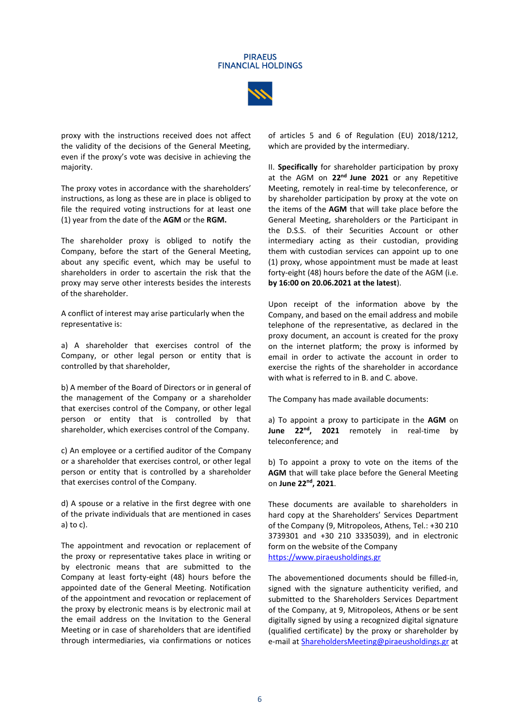#### **PIRAFIIS FINANCIAL HOLDINGS**



proxy with the instructions received does not affect the validity of the decisions of the General Meeting, even if the proxy's vote was decisive in achieving the majority.

The proxy votes in accordance with the shareholders' instructions, as long as these are in place is obliged to file the required voting instructions for at least one (1) year from the date of the **AGM** or the **RGM.**

The shareholder proxy is obliged to notify the Company, before the start of the General Meeting, about any specific event, which may be useful to shareholders in order to ascertain the risk that the proxy may serve other interests besides the interests of the shareholder.

A conflict of interest may arise particularly when the representative is:

a) A shareholder that exercises control of the Company, or other legal person or entity that is controlled by that shareholder,

b) A member of the Board of Directors or in general of the management of the Company or a shareholder that exercises control of the Company, or other legal person or entity that is controlled by that shareholder, which exercises control of the Company.

c) An employee or a certified auditor of the Company or a shareholder that exercises control, or other legal person or entity that is controlled by a shareholder that exercises control of the Company.

d) A spouse or a relative in the first degree with one of the private individuals that are mentioned in cases a) to c).

The appointment and revocation or replacement of the proxy or representative takes place in writing or by electronic means that are submitted to the Company at least forty-eight (48) hours before the appointed date of the General Meeting. Notification of the appointment and revocation or replacement of the proxy by electronic means is by electronic mail at the email address on the Invitation to the General Meeting or in case of shareholders that are identified through intermediaries, via confirmations or notices of articles 5 and 6 of Regulation (EU) 2018/1212, which are provided by the intermediary.

II. **Specifically** for shareholder participation by proxy at the AGM on 22<sup>nd</sup> June 2021 or any Repetitive Meeting, remotely in real-time by teleconference, or by shareholder participation by proxy at the vote on the items of the **AGM** that will take place before the General Meeting, shareholders or the Participant in the D.S.S. of their Securities Account or other intermediary acting as their custodian, providing them with custodian services can appoint up to one (1) proxy, whose appointment must be made at least forty-eight (48) hours before the date of the AGM (i.e. **by 16:00 on 20.06.2021 at the latest**).

Upon receipt of the information above by the Company, and based on the email address and mobile telephone of the representative, as declared in the proxy document, an account is created for the proxy on the internet platform; the proxy is informed by email in order to activate the account in order to exercise the rights of the shareholder in accordance with what is referred to in B. and C. above.

The Company has made available documents:

a) To appoint a proxy to participate in the **AGM** on **June 22<sup>nd</sup>, 2021** remotely in real-time by teleconference; and

b) To appoint a proxy to vote on the items of the **AGM** that will take place before the General Meeting on **June 22 nd, 2021**.

These documents are available to shareholders in hard copy at the Shareholders' Services Department of the Company (9, Mitropoleos, Athens, Tel.: +30 210 3739301 and +30 210 3335039), and in electronic form on the website of the Company [https://www.piraeusholdings.g](https://www.piraeusholdings./)r

The abovementioned documents should be filled-in, signed with the signature authenticity verified, and submitted to the Shareholders Services Department of the Company, at 9, Mitropoleos, Athens or be sent digitally signed by using a recognized digital signature (qualified certificate) by the proxy or shareholder by e-mail a[t ShareholdersMeeting@piraeusholdings.gr](mailto:ShareholdersMeeting@piraeusholdings.gr) at